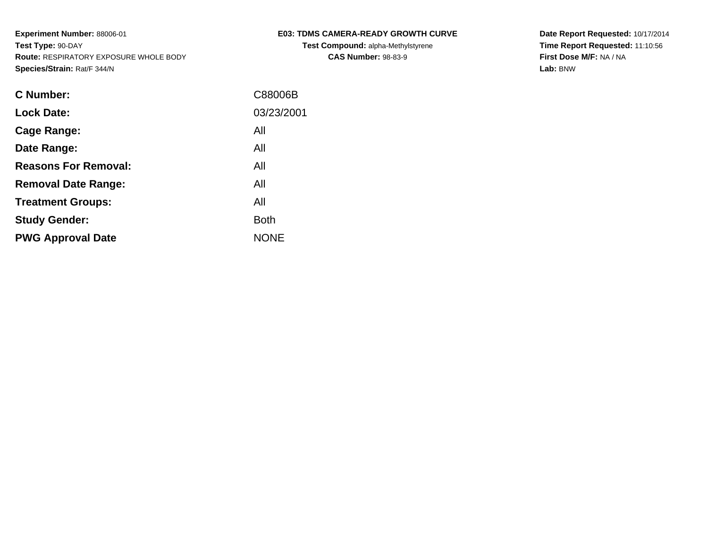| <b>C Number:</b>            | C88006B     |
|-----------------------------|-------------|
| <b>Lock Date:</b>           | 03/23/2001  |
| <b>Cage Range:</b>          | All         |
| Date Range:                 | All         |
| <b>Reasons For Removal:</b> | All         |
| <b>Removal Date Range:</b>  | All         |
| <b>Treatment Groups:</b>    | All         |
| <b>Study Gender:</b>        | <b>Both</b> |
| <b>PWG Approval Date</b>    | <b>NONE</b> |
|                             |             |

# **E03: TDMS CAMERA-READY GROWTH CURVE**

**Test Compound:** alpha-Methylstyrene**CAS Number:** 98-83-9

**Date Report Requested:** 10/17/2014 **Time Report Requested:** 11:10:56**First Dose M/F:** NA / NA**Lab:** BNW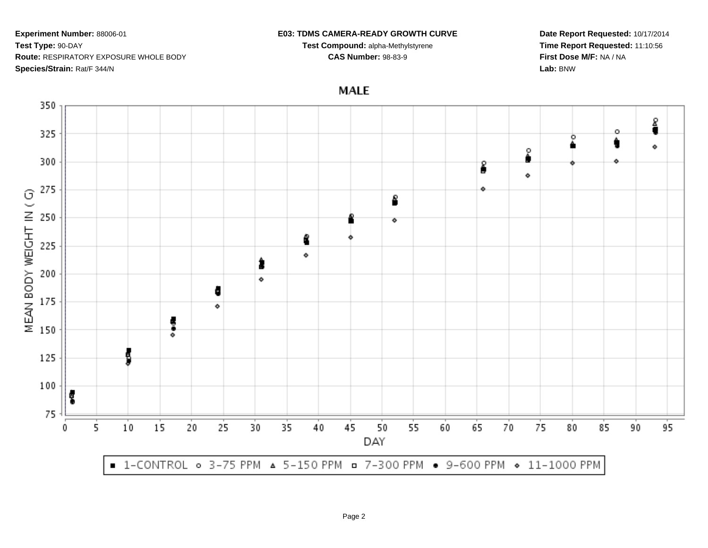#### **E03: TDMS CAMERA-READY GROWTH CURVE**

**Test Compound:** alpha-Methylstyrene**CAS Number:** 98-83-9

**Date Report Requested:** 10/17/2014**Time Report Requested:** 11:10:56**First Dose M/F:** NA / NA**Lab:** BNW



# **MALE**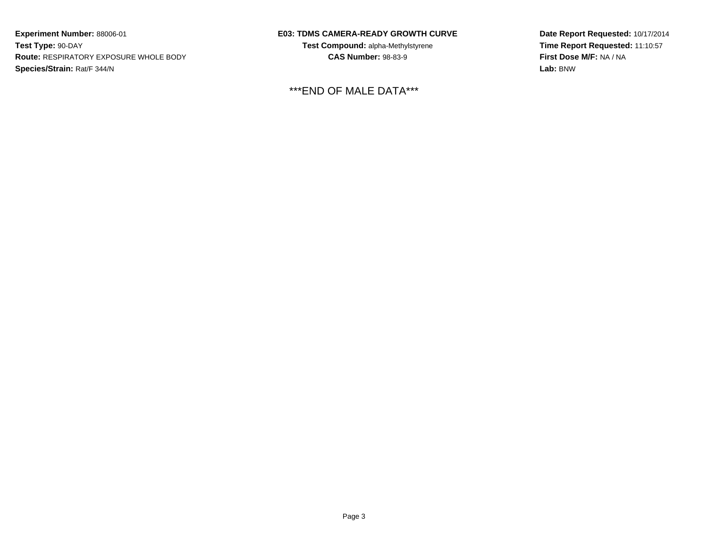### **E03: TDMS CAMERA-READY GROWTH CURVE**

**Test Compound:** alpha-Methylstyrene**CAS Number:** 98-83-9

\*\*\*END OF MALE DATA\*\*\*

**Date Report Requested:** 10/17/2014 **Time Report Requested:** 11:10:57**First Dose M/F:** NA / NA**Lab:** BNW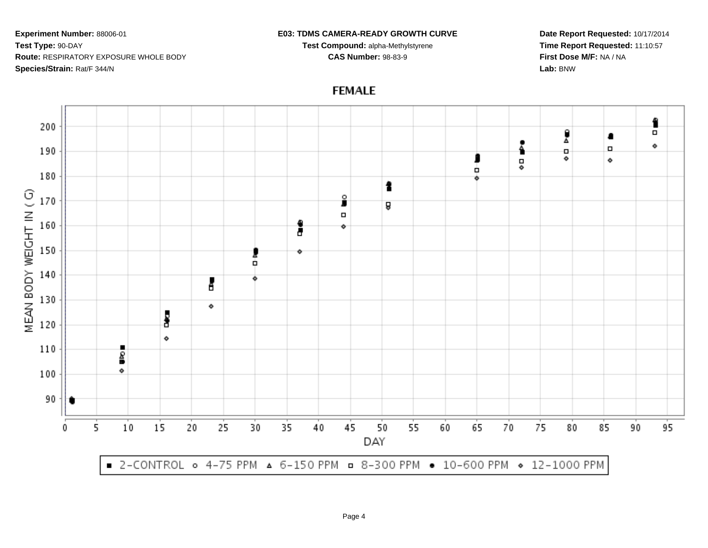#### **E03: TDMS CAMERA-READY GROWTH CURVE**

**Test Compound:** alpha-Methylstyrene**CAS Number:** 98-83-9

**Date Report Requested:** 10/17/2014**Time Report Requested:** 11:10:57**First Dose M/F:** NA / NA**Lab:** BNW



# **FEMALE**